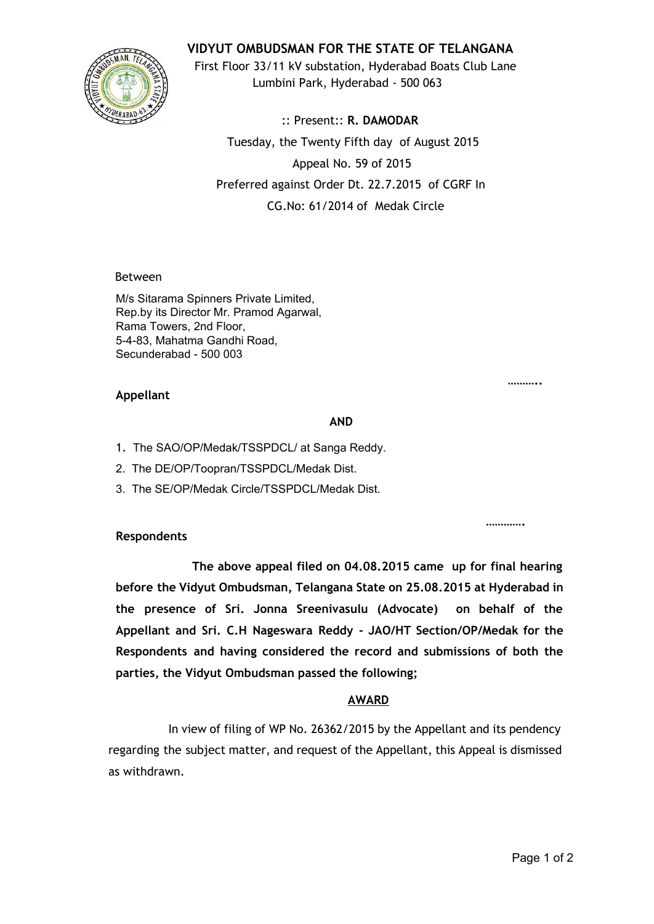

**VIDYUT OMBUDSMAN FOR THE STATE OF TELANGANA**

First Floor 33/11 kV substation, Hyderabad Boats Club Lane Lumbini Park, Hyderabad - 500 063

:: Present:: **R. DAMODAR** Tuesday, the Twenty Fifth day of August 2015 Appeal No. 59 of 2015 Preferred against Order Dt. 22.7.2015 of CGRF In CG.No: 61/2014 of Medak Circle

Between

M/s Sitarama Spinners Private Limited, Rep.by its Director Mr. Pramod Agarwal, Rama Towers, 2nd Floor, 5483, Mahatma Gandhi Road, Secunderabad - 500 003

## **Appellant**

#### **AND**

- 1. The SAO/OP/Medak/TSSPDCL/ at Sanga Reddy.
- 2. The DE/OP/Toopran/TSSPDCL/Medak Dist.
- 3. The SE/OP/Medak Circle/TSSPDCL/Medak Dist.

## **Respondents**

**The above appeal filed on 04.08.2015 came up for final hearing before the Vidyut Ombudsman, Telangana State on 25.08.2015 at Hyderabad in the presence of Sri. Jonna Sreenivasulu (Advocate) on behalf of the Appellant and Sri. C.H Nageswara Reddy - JAO/HT Section/OP/Medak for the Respondents and having considered the record and submissions of both the parties, the Vidyut Ombudsman passed the following;**

## **AWARD**

In view of filing of WP No. 26362/2015 by the Appellant and its pendency regarding the subject matter, and request of the Appellant, this Appeal is dismissed as withdrawn.

**………..**

**………….**